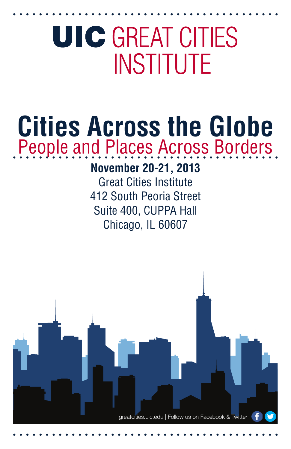# **UIC GREAT CITIES INSTITUTE**

## **Cities Across the Globe** People and Places Across Borders

### **November 20-21, 2013**

Great Cities Institute 412 South Peoria Street Suite 400, CUPPA Hall Chicago, IL 60607

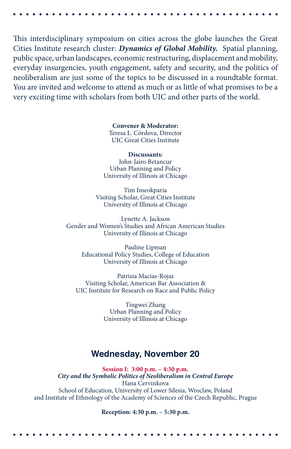This interdisciplinary symposium on cities across the globe launches the Great Cities Institute research cluster: *Dynamics of Global Mobility.* Spatial planning, public space, urban landscapes, economic restructuring, displacement and mobility, everyday insurgencies, youth engagement, safety and security, and the politics of neoliberalism are just some of the topics to be discussed in a roundtable format. You are invited and welcome to attend as much or as little of what promises to be a very exciting time with scholars from both UIC and other parts of the world.

> **Convener & Moderator:**  Teresa L. Córdova, Director UIC Great Cities Institute

**Discussants:** John-Jairo Betancur Urban Planning and Policy University of Illinois at Chicago

Tim Imeokparia Visiting Scholar, Great Cities Institute University of Illinois at Chicago

Lynette A. Jackson Gender and Women's Studies and African American Studies University of Illinois at Chicago

Pauline Lipman Educational Policy Studies, College of Education University of Illinois at Chicago

Patrisia Macias-Rojas Visiting Scholar, American Bar Association & UIC Institute for Research on Race and Public Policy

> Tingwei Zhang Urban Planning and Policy University of Illinois at Chicago

#### **Wednesday, November 20**

**Session I: 3:00 p.m. – 4:30 p.m.** *City and the Symbolic Politics of Neoliberalism in Central Europe*  Hana Cervinkova School of Education, University of Lower Silesia, Wroclaw, Poland and Institute of Ethnology of the Academy of Sciences of the Czech Republic, Prague

**Reception: 4:30 p.m. – 5:30 p.m.**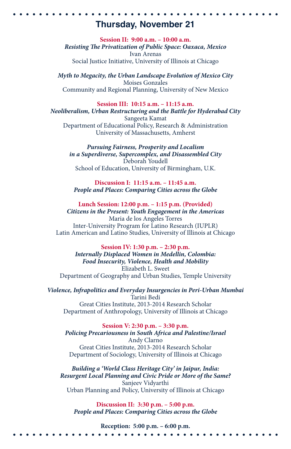#### **Thursday, November 21**

**Session II: 9:00 a.m. – 10:00 a.m.** *Resisting The Privatization of Public Space: Oaxaca, Mexico* Ivan Arenas Social Justice Initiative, University of Illinois at Chicago

*Myth to Megacity, the Urban Landscape Evolution of Mexico City* Moises Gonzales Community and Regional Planning, University of New Mexico

**Session III: 10:15 a.m. – 11:15 a.m.** *Neoliberalism, Urban Restructuring and the Battle for Hyderabad City* Sangeeta Kamat Department of Educational Policy, Research & Administration University of Massachusetts, Amherst

*Pursuing Fairness, Prosperity and Localism in a Superdiverse, Supercomplex, and Disassembled City* Deborah Youdell School of Education, University of Birmingham, U.K.

**Discussion I: 11:15 a.m. – 11:45 a.m.** *People and Places: Comparing Cities across the Globe*

**Lunch Session: 12:00 p.m. – 1:15 p.m. (Provided)** *Citizens in the Present: Youth Engagement in the Americas* Maria de los Angeles Torres Inter-University Program for Latino Research (IUPLR) Latin American and Latino Studies, University of Illinois at Chicago

**Session IV: 1:30 p.m. – 2:30 p.m.** *Internally Displaced Women in Medellin, Colombia: Food Insecurity, Violence, Health and Mobility* Elizabeth L. Sweet Department of Geography and Urban Studies, Temple University

*Violence, Infrapolitics and Everyday Insurgencies in Peri-Urban Mumbai* Tarini Bedi Great Cities Institute, 2013-2014 Research Scholar Department of Anthropology, University of Illinois at Chicago

**Session V: 2:30 p.m. – 3:30 p.m.**  *Policing Precariousness in South Africa and Palestine/Israel* Andy Clarno Great Cities Institute, 2013-2014 Research Scholar Department of Sociology, University of Illinois at Chicago

*Building a 'World Class Heritage City' in Jaipur, India: Resurgent Local Planning and Civic Pride or More of the Same?* Sanjeev Vidyarthi Urban Planning and Policy, University of Illinois at Chicago

**Discussion II: 3:30 p.m. – 5:00 p.m.** *People and Places: Comparing Cities across the Globe*

**Reception: 5:00 p.m. – 6:00 p.m.**